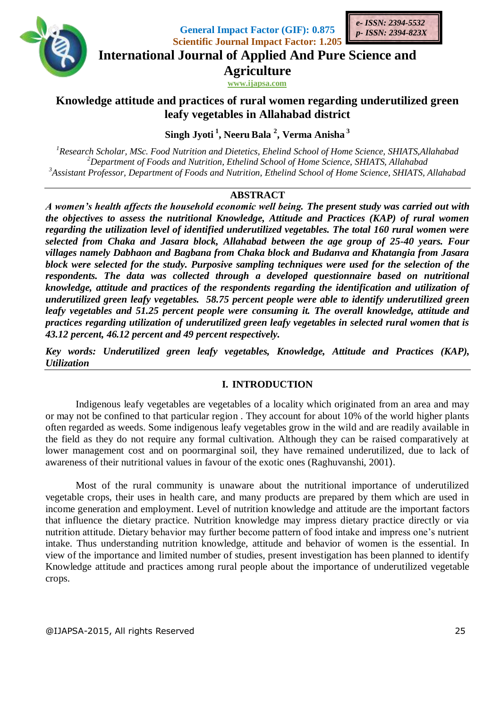

**General Impact Factor (GIF): 0.875 Scientific Journal Impact Factor: 1.205**



**International Journal of Applied And Pure Science and**

**Agriculture**

**www.ijapsa.com** 

**Knowledge attitude and practices of rural women regarding underutilized green leafy vegetables in Allahabad district**

**Singh Jyoti <sup>1</sup> , NeeruBala <sup>2</sup> , Verma Anisha <sup>3</sup>**

*<sup>1</sup>Research Scholar, MSc. Food Nutrition and Dietetics, Ehelind School of Home Science, SHIATS,Allahabad <sup>2</sup>Department of Foods and Nutrition, Ethelind School of Home Science, SHIATS, Allahabad <sup>3</sup>Assistant Professor, Department of Foods and Nutrition, Ethelind School of Home Science, SHIATS, Allahabad*

# **ABSTRACT**

*A women's health affects the household economic well being. The present study was carried out with the objectives to assess the nutritional Knowledge, Attitude and Practices (KAP) of rural women regarding the utilization level of identified underutilized vegetables. The total 160 rural women were selected from Chaka and Jasara block, Allahabad between the age group of 25-40 years. Four villages namely Dabhaon and Bagbana from Chaka block and Budanva and Khatangia from Jasara block were selected for the study. Purposive sampling techniques were used for the selection of the respondents. The data was collected through a developed questionnaire based on nutritional knowledge, attitude and practices of the respondents regarding the identification and utilization of underutilized green leafy vegetables. 58.75 percent people were able to identify underutilized green leafy vegetables and 51.25 percent people were consuming it. The overall knowledge, attitude and practices regarding utilization of underutilized green leafy vegetables in selected rural women that is 43.12 percent, 46.12 percent and 49 percent respectively.* 

*Key words: Underutilized green leafy vegetables, Knowledge, Attitude and Practices (KAP), Utilization*

## **I. INTRODUCTION**

Indigenous leafy vegetables are vegetables of a locality which originated from an area and may or may not be confined to that particular region . They account for about 10% of the world higher plants often regarded as weeds. Some indigenous leafy vegetables grow in the wild and are readily available in the field as they do not require any formal cultivation. Although they can be raised comparatively at lower management cost and on poormarginal soil, they have remained underutilized, due to lack of awareness of their nutritional values in favour of the exotic ones (Raghuvanshi, 2001).

Most of the rural community is unaware about the nutritional importance of underutilized vegetable crops, their uses in health care, and many products are prepared by them which are used in income generation and employment. Level of nutrition knowledge and attitude are the important factors that influence the dietary practice. Nutrition knowledge may impress dietary practice directly or via nutrition attitude. Dietary behavior may further become pattern of food intake and impress one's nutrient intake. Thus understanding nutrition knowledge, attitude and behavior of women is the essential. In view of the importance and limited number of studies, present investigation has been planned to identify Knowledge attitude and practices among rural people about the importance of underutilized vegetable crops.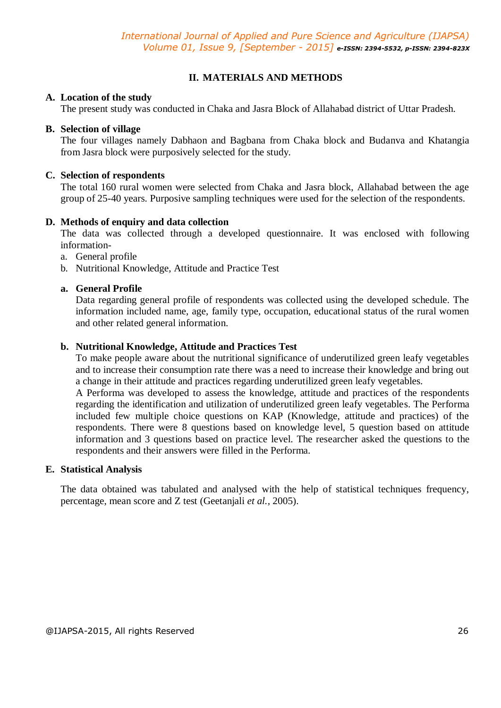# **II. MATERIALS AND METHODS**

### **A. Location of the study**

The present study was conducted in Chaka and Jasra Block of Allahabad district of Uttar Pradesh.

### **B. Selection of village**

The four villages namely Dabhaon and Bagbana from Chaka block and Budanva and Khatangia from Jasra block were purposively selected for the study.

#### **C. Selection of respondents**

The total 160 rural women were selected from Chaka and Jasra block, Allahabad between the age group of 25-40 years. Purposive sampling techniques were used for the selection of the respondents.

#### **D. Methods of enquiry and data collection**

The data was collected through a developed questionnaire. It was enclosed with following information-

- a. General profile
- b. Nutritional Knowledge, Attitude and Practice Test

## **a. General Profile**

Data regarding general profile of respondents was collected using the developed schedule. The information included name, age, family type, occupation, educational status of the rural women and other related general information.

## **b. Nutritional Knowledge, Attitude and Practices Test**

To make people aware about the nutritional significance of underutilized green leafy vegetables and to increase their consumption rate there was a need to increase their knowledge and bring out a change in their attitude and practices regarding underutilized green leafy vegetables.

A Performa was developed to assess the knowledge, attitude and practices of the respondents regarding the identification and utilization of underutilized green leafy vegetables. The Performa included few multiple choice questions on KAP (Knowledge, attitude and practices) of the respondents. There were 8 questions based on knowledge level, 5 question based on attitude information and 3 questions based on practice level. The researcher asked the questions to the respondents and their answers were filled in the Performa.

#### **E. Statistical Analysis**

The data obtained was tabulated and analysed with the help of statistical techniques frequency, percentage, mean score and Z test (Geetanjali *et al.,* 2005).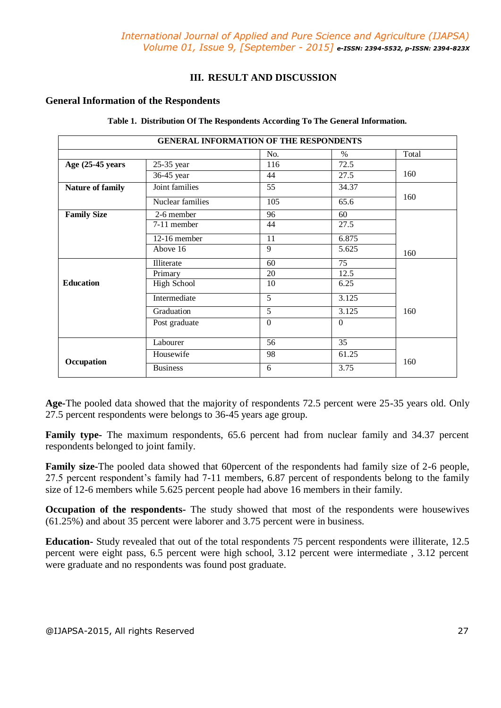## **III. RESULT AND DISCUSSION**

#### **General Information of the Respondents**

| <b>GENERAL INFORMATION OF THE RESPONDENTS</b> |                    |                 |          |       |
|-----------------------------------------------|--------------------|-----------------|----------|-------|
|                                               |                    | No.             | $\%$     | Total |
| Age $(25-45)$ years                           | 25-35 year         | 116             | 72.5     |       |
|                                               | 36-45 year         | 44              | 27.5     | 160   |
| Nature of family                              | Joint families     | $\overline{55}$ | 34.37    |       |
|                                               | Nuclear families   | 105             | 65.6     | 160   |
| <b>Family Size</b>                            | 2-6 member         | 96              | 60       |       |
|                                               | 7-11 member        | 44              | 27.5     |       |
|                                               | 12-16 member       | 11              | 6.875    |       |
|                                               | Above 16           | 9               | 5.625    | 160   |
|                                               | Illiterate         | 60              | 75       |       |
|                                               | Primary            | 20              | 12.5     |       |
| <b>Education</b>                              | <b>High School</b> | 10              | 6.25     |       |
|                                               | Intermediate       | 5               | 3.125    |       |
|                                               | Graduation         | 5               | 3.125    | 160   |
|                                               | Post graduate      | $\Omega$        | $\Omega$ |       |
|                                               | Labourer           | 56              | 35       |       |
| Occupation                                    | Housewife          | 98              | 61.25    | 160   |
|                                               | <b>Business</b>    | 6               | 3.75     |       |

**Table 1. Distribution Of The Respondents According To The General Information.**

**Age-**The pooled data showed that the majority of respondents 72.5 percent were 25-35 years old. Only 27.5 percent respondents were belongs to 36-45 years age group.

**Family type-** The maximum respondents, 65.6 percent had from nuclear family and 34.37 percent respondents belonged to joint family.

**Family size-**The pooled data showed that 60 percent of the respondents had family size of 2-6 people, 27.5 percent respondent's family had 7-11 members, 6.87 percent of respondents belong to the family size of 12-6 members while 5.625 percent people had above 16 members in their family.

**Occupation of the respondents-** The study showed that most of the respondents were housewives (61.25%) and about 35 percent were laborer and 3.75 percent were in business.

**Education-** Study revealed that out of the total respondents 75 percent respondents were illiterate, 12.5 percent were eight pass, 6.5 percent were high school, 3.12 percent were intermediate , 3.12 percent were graduate and no respondents was found post graduate.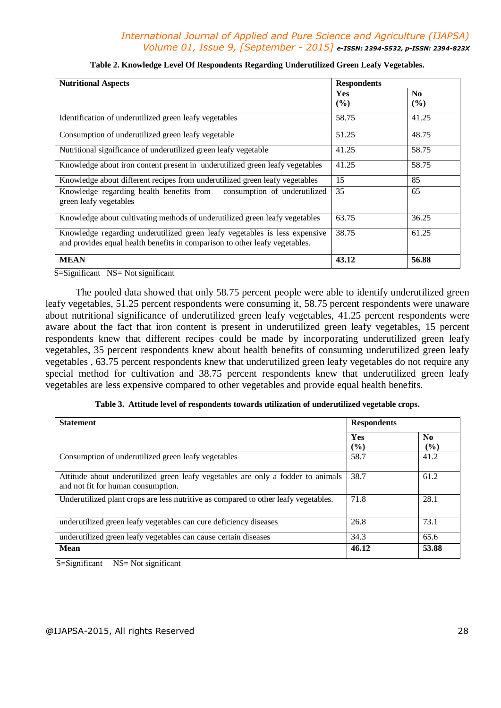# *International Journal of Applied and Pure Science and Agriculture (IJAPSA) Volume 01, Issue 9, [September - 2015] e-ISSN: 2394-5532, p-ISSN: 2394-823X*

| <b>Nutritional Aspects</b>                                                                                                                                | <b>Respondents</b> |                          |
|-----------------------------------------------------------------------------------------------------------------------------------------------------------|--------------------|--------------------------|
|                                                                                                                                                           | <b>Yes</b><br>(%)  | N <sub>0</sub><br>$($ %) |
| Identification of underutilized green leafy vegetables                                                                                                    | 58.75              | 41.25                    |
| Consumption of underutilized green leafy vegetable                                                                                                        | 51.25              | 48.75                    |
| Nutritional significance of underutilized green leafy vegetable                                                                                           | 41.25              | 58.75                    |
| Knowledge about iron content present in underutilized green leafy vegetables                                                                              | 41.25              | 58.75                    |
| Knowledge about different recipes from underutilized green leafy vegetables                                                                               | 15                 | 85                       |
| Knowledge regarding health benefits from consumption of underutilized<br>green leafy vegetables                                                           | 35                 | 65                       |
| Knowledge about cultivating methods of underutilized green leafy vegetables                                                                               | 63.75              | 36.25                    |
| Knowledge regarding underutilized green leafy vegetables is less expensive<br>and provides equal health benefits in comparison to other leafy vegetables. | 38.75              | 61.25                    |
| <b>MEAN</b>                                                                                                                                               | 43.12              | 56.88                    |

| Table 2. Knowledge Level Of Respondents Regarding Underutilized Green Leafy Vegetables. |  |  |
|-----------------------------------------------------------------------------------------|--|--|
|                                                                                         |  |  |

S=Significant NS= Not significant

The pooled data showed that only 58.75 percent people were able to identify underutilized green leafy vegetables, 51.25 percent respondents were consuming it, 58.75 percent respondents were unaware about nutritional significance of underutilized green leafy vegetables, 41.25 percent respondents were aware about the fact that iron content is present in underutilized green leafy vegetables, 15 percent respondents knew that different recipes could be made by incorporating underutilized green leafy vegetables, 35 percent respondents knew about health benefits of consuming underutilized green leafy vegetables , 63.75 percent respondents knew that underutilized green leafy vegetables do not require any special method for cultivation and 38.75 percent respondents knew that underutilized green leafy vegetables are less expensive compared to other vegetables and provide equal health benefits.

| Table 3. Attitude level of respondents towards utilization of underutilized vegetable crops. |  |
|----------------------------------------------------------------------------------------------|--|
|----------------------------------------------------------------------------------------------|--|

| <b>Statement</b>                                                                                                       | <b>Respondents</b> |                       |
|------------------------------------------------------------------------------------------------------------------------|--------------------|-----------------------|
|                                                                                                                        | Yes<br>(%)         | N <sub>0</sub><br>(%) |
| Consumption of underutilized green leafy vegetables                                                                    | 58.7               | 41.2                  |
| Attitude about underutilized green leafy vegetables are only a fodder to animals<br>and not fit for human consumption. | 38.7               | 61.2                  |
| Underutilized plant crops are less nutritive as compared to other leafy vegetables.                                    | 71.8               | 28.1                  |
| underutilized green leafy vegetables can cure deficiency diseases                                                      | 26.8               | 73.1                  |
| underutilized green leafy vegetables can cause certain diseases                                                        | 34.3               | 65.6                  |
| <b>Mean</b>                                                                                                            | 46.12              | 53.88                 |

S=Significant NS= Not significant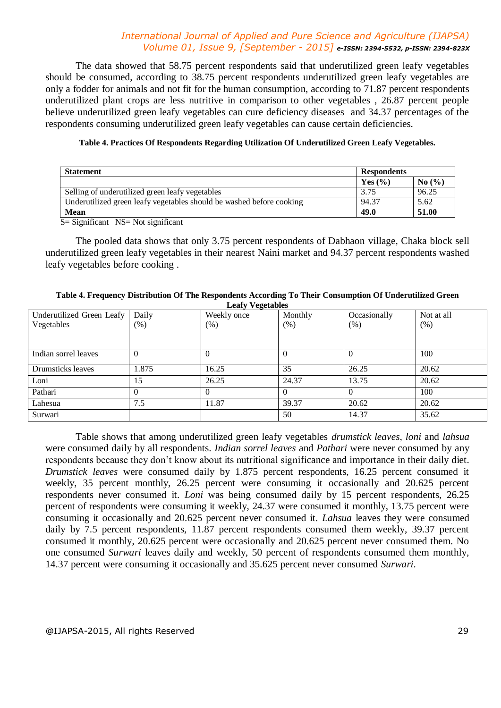## *International Journal of Applied and Pure Science and Agriculture (IJAPSA) Volume 01, Issue 9, [September - 2015] e-ISSN: 2394-5532, p-ISSN: 2394-823X*

The data showed that 58.75 percent respondents said that underutilized green leafy vegetables should be consumed, according to 38.75 percent respondents underutilized green leafy vegetables are only a fodder for animals and not fit for the human consumption, according to 71.87 percent respondents underutilized plant crops are less nutritive in comparison to other vegetables , 26.87 percent people believe underutilized green leafy vegetables can cure deficiency diseases and 34.37 percentages of the respondents consuming underutilized green leafy vegetables can cause certain deficiencies.

#### **Table 4. Practices Of Respondents Regarding Utilization Of Underutilized Green Leafy Vegetables.**

| <b>Statement</b>                                                     | <b>Respondents</b> |       |
|----------------------------------------------------------------------|--------------------|-------|
|                                                                      | Yes $(\% )$        | No(%) |
| Selling of underutilized green leafy vegetables                      | 3.75               | 96.25 |
| Underutilized green leafy vegetables should be washed before cooking | 94.37              | 5.62  |
| <b>Mean</b>                                                          | 49.0               | 51.00 |

 $S =$  Significant NS = Not significant

The pooled data shows that only 3.75 percent respondents of Dabhaon village, Chaka block sell underutilized green leafy vegetables in their nearest Naini market and 94.37 percent respondents washed leafy vegetables before cooking .

#### **Table 4. Frequency Distribution Of The Respondents According To Their Consumption Of Underutilized Green Leafy Vegetables**

| Underutilized Green Leafy | Daily  | . .<br>Weekly once | Monthly  | Occasionally | Not at all |
|---------------------------|--------|--------------------|----------|--------------|------------|
| Vegetables                | $(\%)$ | $(\%)$             | $(\%)$   | $(\%)$       | (% )       |
|                           |        |                    |          |              |            |
|                           |        |                    |          |              |            |
| Indian sorrel leaves      |        |                    | $\theta$ |              | 100        |
|                           |        |                    |          |              |            |
| Drumsticks leaves         | 1.875  | 16.25              | 35       | 26.25        | 20.62      |
| Loni                      | 15     | 26.25              | 24.37    | 13.75        | 20.62      |
| Pathari                   |        |                    | $\theta$ |              | 100        |
| Lahesua                   | 7.5    | 11.87              | 39.37    | 20.62        | 20.62      |
| Surwari                   |        |                    | 50       | 14.37        | 35.62      |

Table shows that among underutilized green leafy vegetables *drumstick leaves*, *loni* and *lahsua* were consumed daily by all respondents. *Indian sorrel leaves* and *Pathari* were never consumed by any respondents because they don't know about its nutritional significance and importance in their daily diet. *Drumstick leaves* were consumed daily by 1.875 percent respondents, 16.25 percent consumed it weekly, 35 percent monthly, 26.25 percent were consuming it occasionally and 20.625 percent respondents never consumed it. *Loni* was being consumed daily by 15 percent respondents, 26.25 percent of respondents were consuming it weekly, 24.37 were consumed it monthly, 13.75 percent were consuming it occasionally and 20.625 percent never consumed it. *Lahsua* leaves they were consumed daily by 7.5 percent respondents, 11.87 percent respondents consumed them weekly, 39.37 percent consumed it monthly, 20.625 percent were occasionally and 20.625 percent never consumed them. No one consumed *Surwari* leaves daily and weekly, 50 percent of respondents consumed them monthly, 14.37 percent were consuming it occasionally and 35.625 percent never consumed *Surwari*.